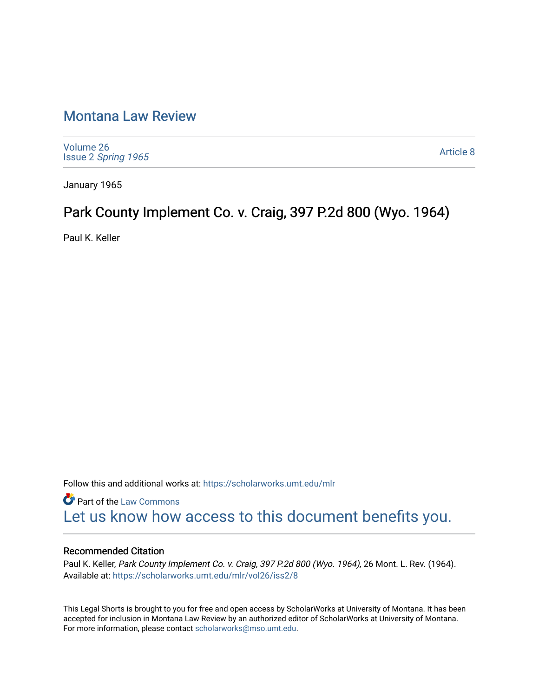## [Montana Law Review](https://scholarworks.umt.edu/mlr)

[Volume 26](https://scholarworks.umt.edu/mlr/vol26) Issue 2 [Spring 1965](https://scholarworks.umt.edu/mlr/vol26/iss2) 

[Article 8](https://scholarworks.umt.edu/mlr/vol26/iss2/8) 

January 1965

## Park County Implement Co. v. Craig, 397 P.2d 800 (Wyo. 1964)

Paul K. Keller

Follow this and additional works at: [https://scholarworks.umt.edu/mlr](https://scholarworks.umt.edu/mlr?utm_source=scholarworks.umt.edu%2Fmlr%2Fvol26%2Fiss2%2F8&utm_medium=PDF&utm_campaign=PDFCoverPages) 

**Part of the [Law Commons](http://network.bepress.com/hgg/discipline/578?utm_source=scholarworks.umt.edu%2Fmlr%2Fvol26%2Fiss2%2F8&utm_medium=PDF&utm_campaign=PDFCoverPages)** [Let us know how access to this document benefits you.](https://goo.gl/forms/s2rGfXOLzz71qgsB2) 

## Recommended Citation

Paul K. Keller, Park County Implement Co. v. Craig, 397 P.2d 800 (Wyo. 1964), 26 Mont. L. Rev. (1964). Available at: [https://scholarworks.umt.edu/mlr/vol26/iss2/8](https://scholarworks.umt.edu/mlr/vol26/iss2/8?utm_source=scholarworks.umt.edu%2Fmlr%2Fvol26%2Fiss2%2F8&utm_medium=PDF&utm_campaign=PDFCoverPages) 

This Legal Shorts is brought to you for free and open access by ScholarWorks at University of Montana. It has been accepted for inclusion in Montana Law Review by an authorized editor of ScholarWorks at University of Montana. For more information, please contact [scholarworks@mso.umt.edu.](mailto:scholarworks@mso.umt.edu)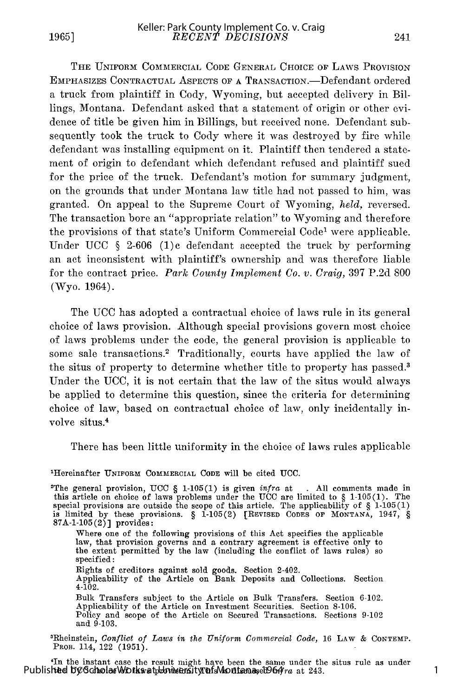**1965]**

THE UNIFORM COMMERCIAL CODE GENERAL CHOICE **OF** LAWS PROVISION EMPHASIZES CONTRACTUAL ASPECTS OF **A** TRANSACTION.-Defendant ordered a truck from plaintiff in Cody, Wyoming, but accepted delivery in Billings, Montana. Defendant asked that a statement of origin or other evidence of title be given him in Billings, but received none. Defendant subsequently took the truck to Cody where it was destroyed by fire while defendant was installing equipment on it. Plaintiff then tendered a statement of origin to defendant which defendant refused and plaintiff sued for the price of the truck. Defendant's motion for summary judgment, on the grounds that under Montana law title had not passed to him, was granted. On appeal to the Supreme Court of Wyoming, *held,* reversed. The transaction bore an "appropriate relation" to Wyoming and therefore the provisions of that state's Uniform Commercial Code1 were applicable. Under UCC  $\S$  2-606 (1)c defendant accepted the truck by performing an act inconsistent with plaintiff's ownership and was therefore liable for the contract price. *Park County Implement Co. v. Craig,* 397 P.2d 800 (Wyo. 1964).

The UCC has adopted a contractual choice of laws rule in its general choice of laws provision. Although special provisions govern most choice of laws problems under the code, the general provision is applicable to some sale transactions.<sup>2</sup> Traditionally, courts have applied the law of the situs of property to determine whether title to property has passed.<sup>3</sup> Under the UCC, it is not certain that the law of the situs would always be applied to determine this question, since the criteria for determining choice of law, based on contractual choice of law, only incidentally involve situs.<sup>4</sup>

There has been little uniformity in the choice of laws rules applicable

1 Hereinafter **UNIFORM COMMERCIAL CODE** will be cited UCC.

2 The general provision, **UCC** § **1-105(1)** is given *infra* at **. All** comments made in this article on choice of laws problems under the UCC are limited to  $\S$  1-105(1). The special provisions are outside the scope of this article. The applicability of  $\S$  1-105(1) is limited by these provisions.  $\S$  1-105( **87A-1-105 (2)]** provides:

Where one of the following provisions of this Act specifies the applicable law, that provision governs and a contrary agreement is effective only to the extent permitted by the law (including the conflict of laws rules) so specified:

Rights of creditors against sold goods. Section 2-402. Applicability of the Article on Bank Deposits and Collections. Section

4-102.

Bulk Transfers subject to the Article on Bulk Transfers. Section 6-102. Applicability of the Article on Investment Securities. Section 8-106. Policy and scope of the Article on Secured Transactions. Sections 9-102 and **9-103.**

31Rheinstein, *Conflict of Laws in the Uniform Commercial Code,* 16 LAw & **CONTEMP.** PROB. 114, 122 (1951).

In the instant case the result might have been the same under the situs rule as under<br>Published by ScholarWorks at buying at 243.

1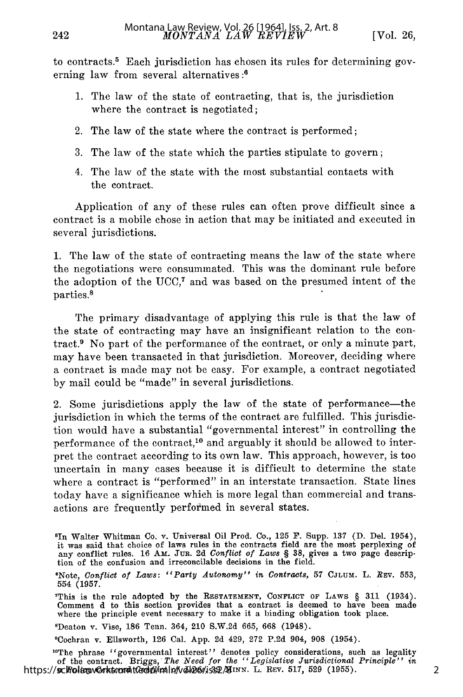2

to contracts.5 Each jurisdiction has chosen its rules for determining governing law from several alternatives:<sup>6</sup>

- 1. The law of the state of contracting, that is, the jurisdiction where the contract is negotiated;
- 2. The law of the state where the contract is performed;
- 3. The law of the state which the parties stipulate to govern;
- 4. The law of the state with the most substantial contacts with the contract.

Application of any of these rules can often prove difficult since a contract is a mobile chose in action that may be initiated and executed in several jurisdictions.

1. The law of the state of contracting means the law of the state where the negotiations were consummated. This was the dominant rule before the adoption of the UCC, $^7$  and was based on the presumed intent of the parties. 8

The primary disadvantage of applying this rule is that the law of the state of contracting may have an insignificant relation to the contract.<sup>9</sup> No part of the performance of the contract, or only a minute part, may have been transacted in that jurisdiction. Moreover, deciding where a contract is made may not be easy. For example, a contract negotiated by mail could be "made" in several jurisdictions.

2. Some jurisdictions apply the law of the state of performance—the jurisdiction in which the terms of the contract are fulfilled. This jurisdiction would have a substantial "governmental interest" in controlling the performance of the contract,<sup>10</sup> and arguably it should be allowed to interpret the contract according to its own law. This approach, however, is too uncertain in many cases because it is difficult to determine the state where a contract is "performed" in an interstate transaction. State lines today have a significance which is more legal than commercial and transactions are frequently performed in several states.

sDeaton v. Vise, **186** Tenn. 364, 210 S.W.2d 665, 668 (1948).

'Cochran v. Ellsworth, **126** Cal. **App. 2d** 429, 272 **P.2d** 904, **908** (1954).

"The phrase "governmental interest" denotes policy considerations, such as legality of the contract. Briggs, *The Need for the "Legislative Jurisdictional Principle" in* https://scholarworks.umdt@dpl/mlp/vol26/iss2/8INN. L. REV. 517, 529 (1955)

<sup>&#</sup>x27;In Walter Whitman Co. v. Universal Oil Prod. Co., 125 F. Supp. 137 (D. Del. 1954), it was said that choice of laws rules in the contracts field are the most perplexing of any conflict rules. 16 Am. Jur. 2d *Conflict of Laws §* 38, gives a two page description of the confusion and irreconcilable decisions in the field.

ONote, *Conflict of Laws: "Party Autonomy" in Contracts,* 57 CJLUM. L. *Rxv.* 553, 554 (1957.

<sup>7</sup>This is the rule adopted **by** the **RESTATEMENT,** CONFLICT OF **LAWS** § 311 (1934). Comment **d** to this section provides that a contract is deemed to have been made where the principle event necessary to make it a binding obligation took place.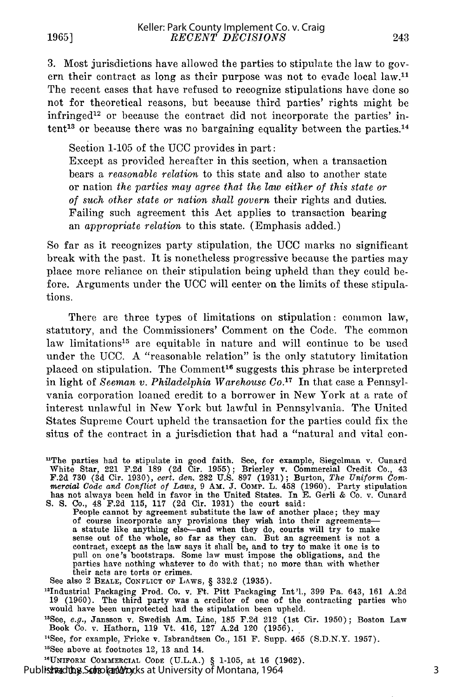3. Most jurisdictions have allowed the parties to stipulate the law to govern their contract as long as their purpose was not to evade local law.<sup>11</sup> The recent cases that have refused to recognize stipulations have done so not for theoretical reasons, but because third parties' rights might be infringed<sup>12</sup> or because the contract did not incorporate the parties' intent<sup>13</sup> or because there was no bargaining equality between the parties.<sup>14</sup>

Section 1-105 of the UCC provides in part: Except as provided hereafter in this section, when a transaction bears a *reasonable relation* to this state and also to another state or nation *the parties may agree that the law either of this state or of such other state or nation shall govern* their rights and duties. Failing such agreement this Act applies to transaction bearing an *appropriate relation* to this state. (Emphasis added.)

So far as it recognizes party stipulation, the UCC marks no significant break with the past. It is nonetheless progressive because the parties may place more reliance on their stipulation being upheld than they could before. Arguments under the UCC will center on the limits of these stipulations.

There are three types of limitations on stipulation: common law, statutory, and the Commissioners' Comment on the Code. The common law limitations<sup>15</sup> are equitable in nature and will continue to be used under the UCC. A "reasonable relation" is the only statutory limitation placed on stipulation. The Comment<sup>16</sup> suggests this phrase be interpreted in light of *Seeman v. Philadelphia Warehouse Co.*<sup>17</sup> In that case a Pennsylvania corporation loaned credit to a borrower in New York at a rate of interest unlawful in New York but lawful in Pennsylvania. The United States Supreme Court upheld the transaction for the parties could fix the situs of the contract in a jurisdiction that had a "natural and vital con-

"The parties had to stipulate in good faith. See, for example, Siegelman v. Cunard White Star, 221 F.2d 189 (2d Cir. 1955); Brierley v. Commercial Credit Co., 43 F.2d 730 (3d Cir. 1930), cert. den. 282 U.S. 897 (1931); Burton, The Uniform Commercial Code and Conflict of Laws, 9 AM. J. COMP. L. 458 (1960). Party stipulation has not always been held in favor in the United States. In S. S. Co., 48 F.2d 115, 117 (2d Cir. 1931) the court said: People cannot by agreement substitute the law of another place; they may

of course incorporate any provisions they wish into their agreements—<br>a statute like anything else—and when they do, courts will try to make<br>sense out of the whole, so far as they can. But an agreement is not a<br>contract, e pull on one's bootstraps. Some law must impose the obligations, and the parties have nothing whatever to do with that; no more than with whether their acts are torts or crimes.

See also 2 BEALE, CONFLICT OF LAWS, § 332.2 **(1935).** <sup>2</sup>

Industrial Packaging Prod. Co. v. Ft. Pitt Packaging Int'l., 399 Pa. 643, 161 A.2d 19 (1960). The third party was a creditor of one of the contracting parties who would have been unprotected had the stipulation been upheld.

<sup>13</sup>See, *e.g.*, Jansson v. Swedish Am. Line, 185 F.2d 212 (1st Cir. 1950); Boston Law<br>Book Co. v. Hathorn, 119 Vt. 416, 127 A.2d 120 (1956).

<sup>14</sup>See, for example, Fricke v. Isbrandtsen Co., 151 F. Supp.  $465$  (S.D.N.Y. 1957).

<sup>15</sup>See above at footnotes 12, 13 and 14.

**"UNIFORM** COMMERCIAL **CODE (U.L.A.)** § 1-105, at 16 (1962).

Published by Scholar Works at University of Montana, 1964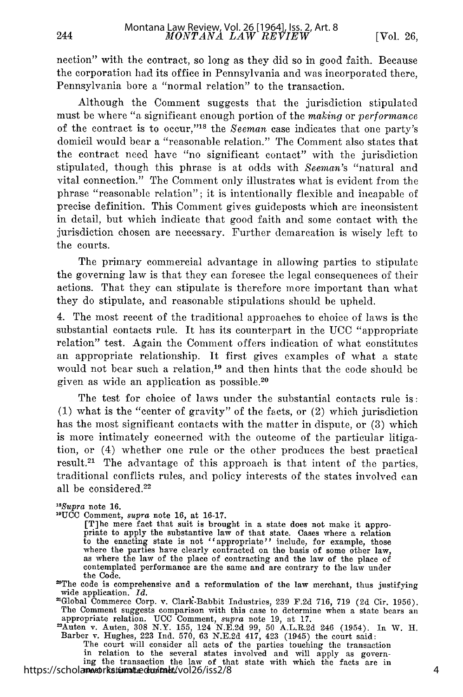nection" with the contract, so long as they did so in good faith. Because the corporation had its office in Pennsylvania and was incorporated there, Pennsylvania bore a "normal relation" to the transaction.

Although the Comment suggests that the jurisdiction stipulated must be where "a significant enough portion of the *making* or *performance* of the contract is to occur,"<sup>18</sup> the *Seeman* case indicates that one party's domicil would bear a "reasonable relation." The Comment also states that the contract need have "no significant contact" with the jurisdiction stipulated, though this phrase is at odds with *Seeman's* "natural and vital connection." The Comment only illustrates what is evident from the phrase "reasonable relation"; it is intentionally flexible and incapable of precise definition. This Comment gives guideposts which are inconsistent in detail, but which indicate that good faith and some contact with the jurisdiction chosen are necessary. Further demarcation is wisely left to the courts.

The primary commercial advantage in allowing parties to stipulate the governing law is that they can foresee the legal consequences of their actions. That they can stipulate is therefore more important than what they do stipulate, and reasonable stipulations should be upheld.

4. The most recent of the traditional approaches to choice of laws is the substantial contacts rule. It has its counterpart in the **UCC** "appropriate relation" test. Again the Comment offers indication of what constitutes an appropriate relationship. It first gives examples of what a state would not bear such a relation,<sup>19</sup> and then hints that the code should be given as wide an application as possible. <sup>20</sup>

The test for choice of laws under the substantial contacts rule is: (1) what is the "center of gravity" of the facts, or (2) which jurisdiction has the most significant contacts with the matter in dispute, or (3) which is more intimately concerned with the outcome of the particular litigation, or (4) whether one rule or the other produces the best practical result.<sup>21</sup> The advantage of this approach is that intent of the parties, traditional conflicts rules, and policy interests of the states involved can all be considered.<sup>22</sup>

## *' 8 Supra* note **16.**

<sup>19</sup>UCC Comment, *supra* note 16, at 16-17.<br>
[T]he mere fact that suit is brought in a state does not make it appro-[T]he mere fact that suit is brought in a state does not make it appro- priate to apply the substantive law of that state. Cases where a relation to the enacting state is not "appropriate" include, for example, those where the parties have clearly contracted on the basis of some other law, as where the law of the place of contracting and the law of the place of contemplated performance are the same and are contrary to the law under the Code.

"The code is comprehensive and a reformulation of the law merchant, thus justifying wide application. *Id.*

'Global Commerce Corp. v. Clark-Babbit Industries, 239 IF.2d 716, 719 (2d Cir. 1956). The Comment suggests comparison with this case to determine when a state bears and<br>appropriate relation. UCC Comment, *supra* note 19, at 17.<br>"Auten v. Auten, 308 N.Y. 155, 124 N.E.2d 99, 50 A.L.R.2d 246 (1954). In W. H.

Barber v. Hughes, 223 Ind. 570, 63 N.E.2d 417, 423 (1945) the court said:<br>The court will consider all acts of the parties touching the transaction

in relation to the several states involved and will apply as govern-<br>ing the transaction the law of that state with which the facts are in<br>most intimate communication the law of that state with which the facts are in https://scholamosorks.tumat.edu/molt/vol26/iss2/8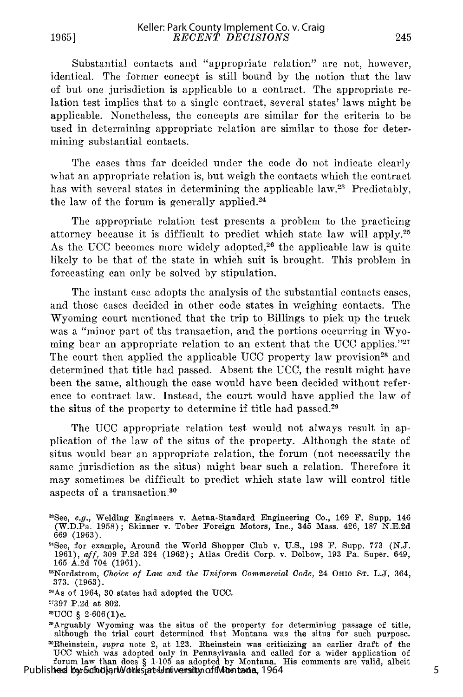**1965]**

Substantial contacts and "appropriate relation" are not, however, identical. The former concept is still bound by the notion that the law of but one jurisdiction is applicable to a contract. The appropriate relation test implies that to a single contract, several states' laws might be applicable. Nonetheless, the concepts are similar for the criteria to be used in determining appropriate relation are similar to those for determining substantial contacts.

The cases thus far decided under the code do not indicate clearly what an appropriate relation is, but weigh the contacts which the contract has with several states in determining the applicable law.<sup>23</sup> Predictably, the law of the forum is generally applied. $24$ 

The appropriate relation test presents a problem to the practicing attorney because it is difficult to predict which state law will apply. <sup>25</sup> As the UCC becomes more widely adopted,<sup>26</sup> the applicable law is quite likely to be that of the state in which suit is brought. This problem in forecasting can only be solved by stipulation.

The instant case adopts the analysis of the substantial contacts cases, and those cases decided in other code states in weighing contacts. The Wyoming court mentioned that the trip to Billings to pick up the truck was a "minor part of ths transaction, and the portions occurring in Wyoming bear an appropriate relation to an extent that the UCC applies.<sup> $227$ </sup> The court then applied the applicable UCC property law provision<sup>28</sup> and determined that title had passed. Absent the UCC, the result might have been the same, although the case would have been decided without reference to contract law. Instead, the court would have applied the law of the situs of the property to determine if title had passed.<sup>29</sup>

The UCC appropriate relation test would not always result in application of the law of the situs of the property. Although the state of situs would bear an appropriate relation, the forum (not necessarily the same jurisdiction as the situs) might bear such a relation. Therefore it may sometimes be difficult to predict which state law will control title aspects of a transaction. <sup>30</sup>

 $2UCC \S 2-606(1)c.$ <br>29Arguably Wyoming was the situs of the property for determining passage of title although the trial court determined that Montana was the situs for such purpose.<br><sup>30</sup>Rheinstein, *supra* note 2, at 123. Rheinstein was criticizing an earlier draft of the **UCC** which was adopted only in Pennsylvania and called for a wider application of forum law than does § 1-105 as adopted by Montana. His comments are valid, albeit Published by ScholarWorks at Iniversity of Montana, 1964

<sup>&#</sup>x27;See, *e.g.,* Welding Engineers v. Aetna-Standard Engineering Co., 169 F. Supp. 146 (W.D.Pa. 1958); Skinner v. Tober Foreign Motors, Inc., 345 Mass. 426, **187** N.E.2d 669 (1963).

<sup>&</sup>quot;See, for example, Around the World Shopper Club v. U.S., 198 F. Supp. 773 (N.J. 1961), *aff,* 309 F.2d 324 (1962); Atlas Credit Corp. v. Dolbow, 193 Pa. Super. 649, 165 A.2d 704 (1961).

<sup>&#</sup>x27;Nordstrom, *Choice of Law and the Uniform Commercial Code,* 24 OHIO ST. L.J. 364, 373. (1963). 6

<sup>&</sup>quot; As of 1964, 30 states had adopted the UCC.

**<sup>-397</sup>** P.2d at 802.